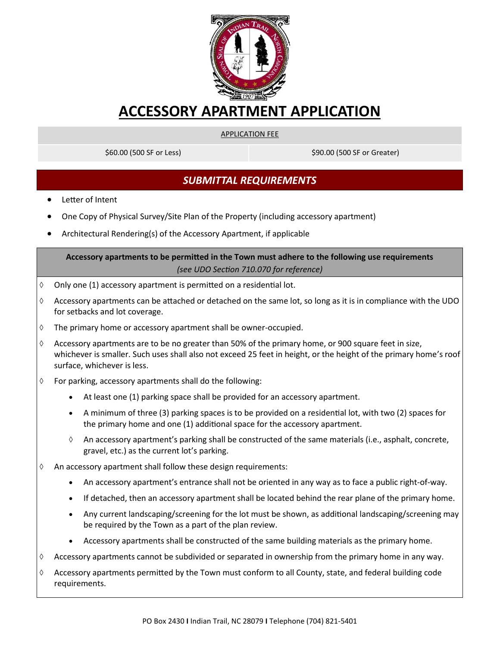

# **ACCESSORY APARTMENT APPLICATION**

#### APPLICATION FEE

\$60.00 (500 SF or Less) \$90.00 (500 SF or Greater)

## *SUBMITTAL REQUIREMENTS*

- Letter of Intent
- One Copy of Physical Survey/Site Plan of the Property (including accessory apartment)
- Architectural Rendering(s) of the Accessory Apartment, if applicable

### **Accessory apartments to be permitted in the Town must adhere to the following use requirements**  *(see UDO Section 710.070 for reference)*

- $\lozenge$  Only one (1) accessory apartment is permitted on a residential lot.
- $\Diamond$  Accessory apartments can be attached or detached on the same lot, so long as it is in compliance with the UDO for setbacks and lot coverage.
- $\Diamond$  The primary home or accessory apartment shall be owner-occupied.
- $\Diamond$  Accessory apartments are to be no greater than 50% of the primary home, or 900 square feet in size, whichever is smaller. Such uses shall also not exceed 25 feet in height, or the height of the primary home's roof surface, whichever is less.
- $\Diamond$  For parking, accessory apartments shall do the following:
	- At least one (1) parking space shall be provided for an accessory apartment.
	- A minimum of three (3) parking spaces is to be provided on a residential lot, with two (2) spaces for the primary home and one (1) additional space for the accessory apartment.
	- $\Diamond$  An accessory apartment's parking shall be constructed of the same materials (i.e., asphalt, concrete, gravel, etc.) as the current lot's parking.
- $\Diamond$  An accessory apartment shall follow these design requirements:
	- An accessory apartment's entrance shall not be oriented in any way as to face a public right-of-way.
	- If detached, then an accessory apartment shall be located behind the rear plane of the primary home.
	- Any current landscaping/screening for the lot must be shown, as additional landscaping/screening may be required by the Town as a part of the plan review.
	- Accessory apartments shall be constructed of the same building materials as the primary home.
- $\Diamond$  Accessory apartments cannot be subdivided or separated in ownership from the primary home in any way.
- $\Diamond$  Accessory apartments permitted by the Town must conform to all County, state, and federal building code requirements.